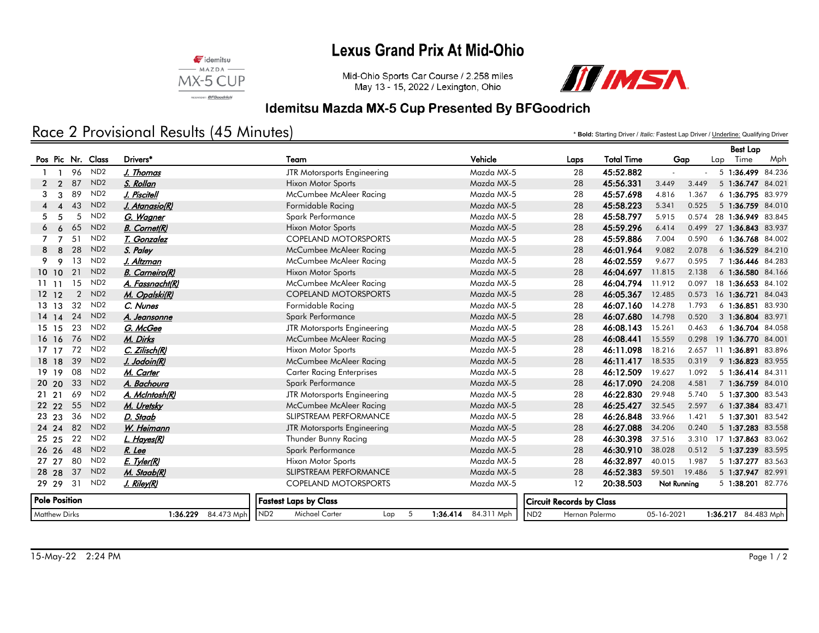# **Lexus Grand Prix At Mid-Ohio**



Mid-Ohio Sports Car Course / 2.258 miles May 13 - 15, 2022 / Lexington, Ohio



#### Idemitsu Mazda MX-5 Cup Presented By BFGoodrich

# Race 2 Provisional Results (45 Minutes)

\* **Bold:** Starting Driver / *Italic:* Fastest Lap Driver / Underline: Qualifying Driver

|                      |                |                 |                        |                                               |                        |                                   |                   |                  |        | <b>Best Lap</b>     |        |
|----------------------|----------------|-----------------|------------------------|-----------------------------------------------|------------------------|-----------------------------------|-------------------|------------------|--------|---------------------|--------|
| Pos Pic Nr. Class    |                |                 | Drivers*               | Team                                          | Vehicle                | Laps                              | <b>Total Time</b> | Gap              |        | Time<br>Lap         | Mph    |
|                      | 96             | ND <sub>2</sub> | J. Thomas              | JTR Motorsports Engineering                   | Mazda MX-5             | 28                                | 45:52.882         | ä,               | $\sim$ | 5 1:36.499 84.236   |        |
| $\overline{2}$<br>2  | 87             | ND <sub>2</sub> | S. Rollan              | <b>Hixon Motor Sports</b>                     | Mazda MX-5             | 28                                | 45:56.331         | 3.449<br>3.449   |        | $5 \t1:36.747$      | 84.021 |
| 3<br>3               | 89             | ND <sub>2</sub> | J. Piscitell           | McCumbee McAleer Racing                       | Mazda MX-5             | 28                                | 45:57.698         | 4.816<br>1.367   |        | 6 1:36.795 83.979   |        |
|                      | 43             | ND <sub>2</sub> | <u>J. Atanasio(R)</u>  | Formidable Racing                             | Mazda MX-5             | 28                                | 45:58.223         | 5.341<br>0.525   |        | 5 1:36.759 84.010   |        |
| 5<br>5               | 5              | ND <sub>2</sub> | G. Wagner              | Spark Performance                             | Mazda MX-5             | 28                                | 45:58.797         | 5.915<br>0.574   |        | 28 1:36.949 83.845  |        |
| 6<br>6               | 65             | ND <sub>2</sub> | <b>B.</b> Cornet(R)    | <b>Hixon Motor Sports</b>                     | Mazda MX-5             | 28                                | 45:59.296         | 6.414<br>0.499   |        | 27 1:36.843 83.937  |        |
|                      | 51             | ND <sub>2</sub> | T. Gonzalez            | <b>COPELAND MOTORSPORTS</b>                   | Mazda MX-5             | 28                                | 45:59.886         | 7.004<br>0.590   |        | 6 1:36.768 84.002   |        |
| 8<br>$\mathbf{R}$    | 28             | ND <sub>2</sub> | S. Paley               | McCumbee McAleer Racing                       | Mazda MX-5             | 28                                | 46:01.964         | 9.082<br>2.078   |        | 6 1:36.529 84.210   |        |
| 9<br>$\mathbf{Q}$    | 13             | ND <sub>2</sub> | J. Altzman             | McCumbee McAleer Racing                       | Mazda MX-5             | 28                                | 46:02.559         | 9.677<br>0.595   |        | 7 1:36.446 84.283   |        |
| 10 10                | 21             | ND <sub>2</sub> | <b>B.</b> Carneiro(R)  | <b>Hixon Motor Sports</b>                     | Mazda MX-5             | 28                                | 46:04.697         | 2.138<br>11.815  |        | 6 1:36.580 84.166   |        |
| 1111                 | 15             | ND <sub>2</sub> | A. Fassnacht(R)        | McCumbee McAleer Racing                       | Mazda MX-5             | 28                                | 46:04.794         | 11.912<br>0.097  |        | 18 1:36.653 84.102  |        |
| $12 \t12$            | $\overline{2}$ | ND <sub>2</sub> | M. Opalski(R)          | <b>COPELAND MOTORSPORTS</b>                   | Mazda MX-5             | 28                                | 46:05.367         | 12.485<br>0.573  |        | 16 1:36.721 84.043  |        |
| $13 \t13$            | 32             | ND <sub>2</sub> | C. Nunes               | Formidable Racing                             | Mazda MX-5             | 28                                | 46:07.160         | 14.278<br>1.793  |        | 6 1:36.851 83.930   |        |
| 14 14                | 24             | ND <sub>2</sub> | A. Jeansonne           | Spark Performance                             | Mazda MX-5             | 28                                | 46:07.680         | 14.798<br>0.520  |        | 3 1:36.804 83.971   |        |
| 15, 15               | 23             | ND <sub>2</sub> | G. McGee               | JTR Motorsports Engineering                   | Mazda MX-5             | 28                                | 46:08.143         | 15.261<br>0.463  |        | 6 1:36.704 84.058   |        |
| 16 16                | 76             | ND <sub>2</sub> | M. Dirks               | McCumbee McAleer Racing                       | Mazda MX-5             | 28                                | 46:08.441         | 15.559<br>0.298  |        | 19 1:36.770 84.001  |        |
| 17, 17               | 72             | ND <sub>2</sub> | C. Zilisch(R)          | <b>Hixon Motor Sports</b>                     | Mazda MX-5             | 28                                | 46:11.098         | 18.216<br>2.657  |        | 1:36.891<br>11      | 83.896 |
| 18 18                | 39             | ND <sub>2</sub> | J. Jodoin(R)           | McCumbee McAleer Racing                       | Mazda MX-5             | 28                                | 46:11.417         | 18.535<br>0.319  |        | 9 1:36.823 83.955   |        |
| 19 19                | 08             | ND <sub>2</sub> | M. Carter              | <b>Carter Racing Enterprises</b>              | Mazda MX-5             | 28                                | 46:12.509         | 19.627<br>1.092  |        | 5 1:36.414 84.311   |        |
| 20 20                | 33             | ND <sub>2</sub> | A. Bachoura            | Spark Performance                             | Mazda MX-5             | 28                                | 46:17.090         | 24.208<br>4.581  |        | 7 1:36.759 84.010   |        |
| 21, 21               | 69             | ND <sub>2</sub> | A. McIntosh(R)         | JTR Motorsports Engineering                   | Mazda MX-5             | 28                                | 46:22.830         | 29.948<br>5.740  |        | 5 1:37.300 83.543   |        |
| 22 22                | 55             | ND <sub>2</sub> | M. Uretsky             | McCumbee McAleer Racing                       | Mazda MX-5             | 28                                | 46:25.427         | 32.545<br>2.597  |        | 6 1:37.384 83.471   |        |
| 23 23                | 36             | ND <sub>2</sub> | D. Staab               | <b>SLIPSTREAM PERFORMANCE</b>                 | Mazda MX-5             | 28                                | 46:26.848         | 33.966<br>1.421  |        | 5 1:37.301 83.542   |        |
| 24 24                | 82             | ND <sub>2</sub> | W. Heimann             | JTR Motorsports Engineering                   | Mazda MX-5             | 28                                | 46:27.088         | 34.206<br>0.240  |        | 5 1:37.283 83.558   |        |
| 25 25                | 22             | ND <sub>2</sub> | <u>L. Hayes(R)</u>     | Thunder Bunny Racing                          | Mazda MX-5             | 28                                | 46:30.398         | 37.516<br>3.310  |        | 17 1:37.863 83.062  |        |
| 26 26                | 48             | ND <sub>2</sub> | R. Lee                 | Spark Performance                             | Mazda MX-5             | 28                                | 46:30.910         | 38.028<br>0.512  |        | 5 1:37.239          | 83.595 |
| 27 27                | 80             | ND <sub>2</sub> | E. Tyler(R)            | <b>Hixon Motor Sports</b>                     | Mazda MX-5             | 28                                | 46:32.897         | 40.015<br>1.987  |        | 51:37.277           | 83.563 |
| 28 28                | 37             | ND <sub>2</sub> | M. Staab(R)            | <b>SLIPSTREAM PERFORMANCE</b>                 | Mazda MX-5             | 28                                | 46:52.383         | 59.501<br>19.486 |        | 5 1:37.947 82.991   |        |
| 29 29                | 31             | ND <sub>2</sub> | <u>J. Riley(R)</u>     | <b>COPELAND MOTORSPORTS</b>                   | Mazda MX-5             | 12                                | 20:38.503         | Not Running      |        | 5 1:38.201 82.776   |        |
| <b>Pole Position</b> |                |                 |                        | <b>Fastest Laps by Class</b>                  |                        | <b>Circuit Records by Class</b>   |                   |                  |        |                     |        |
| <b>Matthew Dirks</b> |                |                 | 84.473 Mph<br>1:36.229 | ND <sub>2</sub><br>Michael Carter<br>5<br>Lap | 1:36.414<br>84.311 Mph | ND <sub>2</sub><br>Hernan Palermo |                   | 05-16-2021       |        | 1:36.217 84.483 Mph |        |